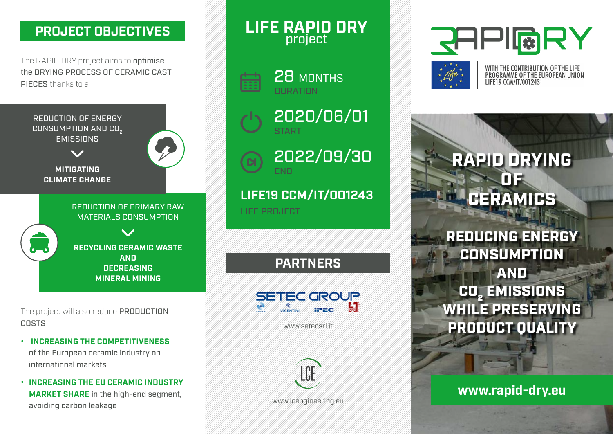### project **PROJECT OBJECTIVES**

The RAPID DRY project aims to **optimise** the DRYING PROCESS OF CERAMIC CAST PIFCES thanks to a



The project will also reduce **PRODUCTION COSTS** 

- **INCREASING THE COMPETITIVENESS** of the European ceramic industry on international markets
- **• INCREASING THE EU CERAMIC INDUSTRY MARKET SHARE** in the high-end segment, avoiding carbon leakage

**LIFE RAPID DRY**



28 MONTHS **DURATION** 

2020/06/01 START



**LIFE19 CCM/IT/001243**

LIFE PROJECT

**PARTNERS**



www.setecsrl.it



www.lcengineering.eu





WITH THE CONTRIBUTION OF THE LIFE<br>PROGRAMME OF THE EUROPEAN UNION LIFE19 CCM/IT/001243

# RAPID DRYING OF CERAMICS

REDUCING ENERGY **CONSUMPTION** AND CO<sub>2</sub> EMISSIONS WHILE PRESERVING PRODUCT QUALITY

# **www.rapid-dry.eu**